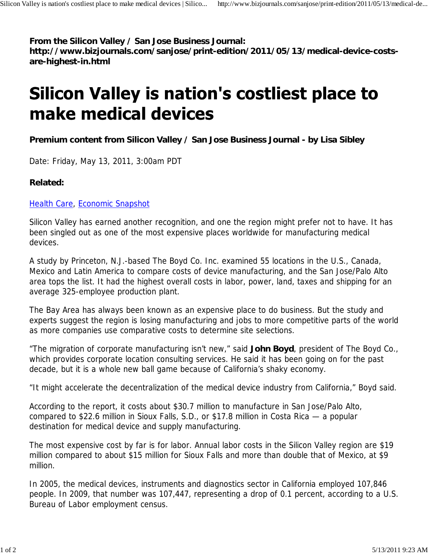#### **From the Silicon Valley / San Jose Business Journal:**

**http://www.bizjournals.com/sanjose/print-edition/2011/05/13/medical-device-costsare-highest-in.html**

# Silicon Valley is nation's costliest place to make medical devices

## **Premium content from Silicon Valley / San Jose Business Journal - by Lisa Sibley**

Date: Friday, May 13, 2011, 3:00am PDT

## **Related:**

#### Health Care, Economic Snapshot

Silicon Valley has earned another recognition, and one the region might prefer not to have. It has been singled out as one of the most expensive places worldwide for manufacturing medical devices.

A study by Princeton, N.J.-based The Boyd Co. Inc. examined 55 locations in the U.S., Canada, Mexico and Latin America to compare costs of device manufacturing, and the San Jose/Palo Alto area tops the list. It had the highest overall costs in labor, power, land, taxes and shipping for an average 325-employee production plant.

The Bay Area has always been known as an expensive place to do business. But the study and experts suggest the region is losing manufacturing and jobs to more competitive parts of the world as more companies use comparative costs to determine site selections.

"The migration of corporate manufacturing isn't new," said **John Boyd**, president of The Boyd Co., which provides corporate location consulting services. He said it has been going on for the past decade, but it is a whole new ball game because of California's shaky economy.

"It might accelerate the decentralization of the medical device industry from California," Boyd said.

According to the report, it costs about \$30.7 million to manufacture in San Jose/Palo Alto, compared to \$22.6 million in Sioux Falls, S.D., or \$17.8 million in Costa Rica — a popular destination for medical device and supply manufacturing.

The most expensive cost by far is for labor. Annual labor costs in the Silicon Valley region are \$19 million compared to about \$15 million for Sioux Falls and more than double that of Mexico, at \$9 million.

In 2005, the medical devices, instruments and diagnostics sector in California employed 107,846 people. In 2009, that number was 107,447, representing a drop of 0.1 percent, according to a U.S. Bureau of Labor employment census.